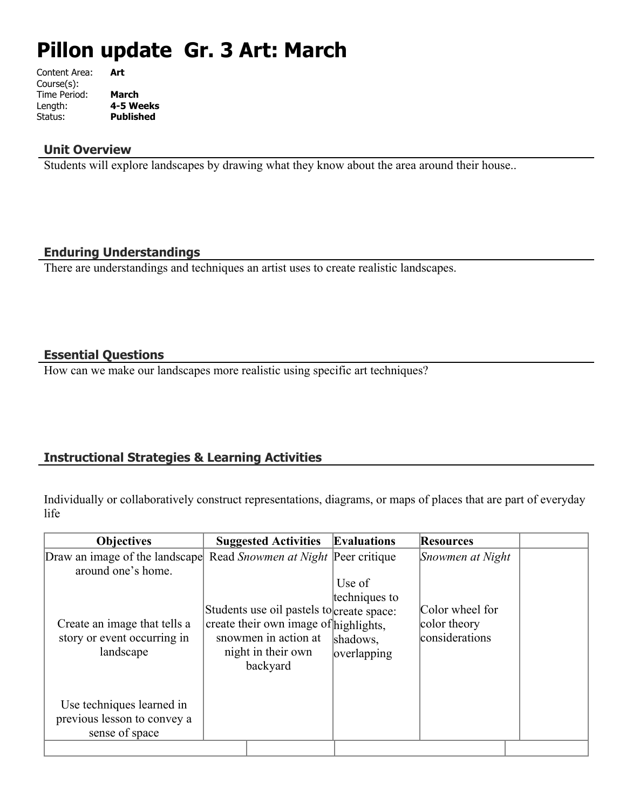# **Pillon update Gr. 3 Art: March**

| Content Area: | Art              |
|---------------|------------------|
| Course(s):    |                  |
| Time Period:  | <b>March</b>     |
| Length:       | 4-5 Weeks        |
| Status:       | <b>Published</b> |
|               |                  |

#### **Unit Overview**

Students will explore landscapes by drawing what they know about the area around their house..

### **Enduring Understandings**

There are understandings and techniques an artist uses to create realistic landscapes.

# **Essential Questions**

How can we make our landscapes more realistic using specific art techniques?

# **Instructional Strategies & Learning Activities**

Individually or collaboratively construct representations, diagrams, or maps of places that are part of everyday life

| <b>Objectives</b>                                                                        | <b>Suggested Activities</b>                                                                                                                  | <b>Evaluations</b>                                 | <b>Resources</b>                                  |  |
|------------------------------------------------------------------------------------------|----------------------------------------------------------------------------------------------------------------------------------------------|----------------------------------------------------|---------------------------------------------------|--|
| Draw an image of the landscape Read Snowmen at Night Peer critique<br>around one's home. |                                                                                                                                              |                                                    | Snowmen at Night                                  |  |
| Create an image that tells a<br>story or event occurring in<br>landscape                 | Students use oil pastels to create space:<br>create their own image of highlights,<br>snowmen in action at<br>night in their own<br>backyard | Use of<br>techniques to<br>shadows.<br>overlapping | Color wheel for<br>color theory<br>considerations |  |
| Use techniques learned in<br>previous lesson to convey a<br>sense of space               |                                                                                                                                              |                                                    |                                                   |  |
|                                                                                          |                                                                                                                                              |                                                    |                                                   |  |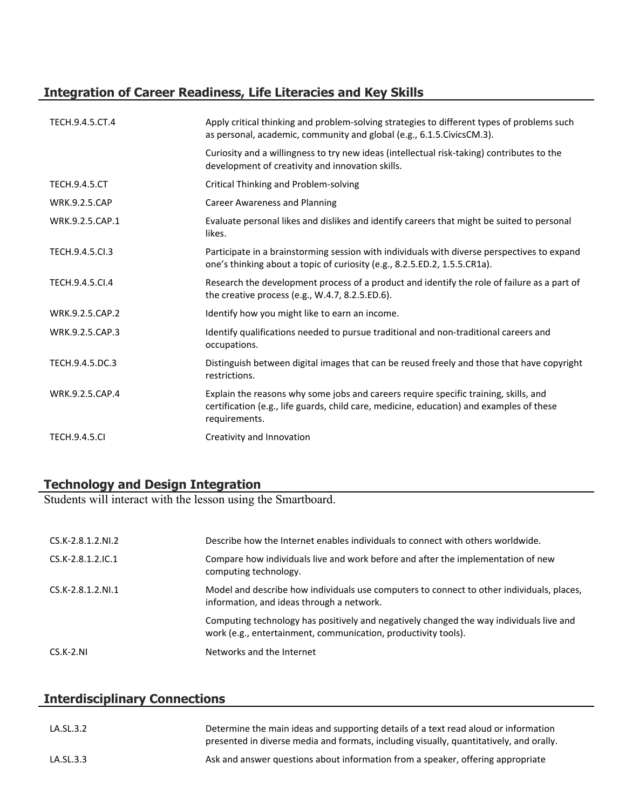# **Integration of Career Readiness, Life Literacies and Key Skills**

| TECH.9.4.5.CT.4      | Apply critical thinking and problem-solving strategies to different types of problems such<br>as personal, academic, community and global (e.g., 6.1.5. Civics CM.3).                             |
|----------------------|---------------------------------------------------------------------------------------------------------------------------------------------------------------------------------------------------|
|                      | Curiosity and a willingness to try new ideas (intellectual risk-taking) contributes to the<br>development of creativity and innovation skills.                                                    |
| <b>TECH.9.4.5.CT</b> | Critical Thinking and Problem-solving                                                                                                                                                             |
| <b>WRK.9.2.5.CAP</b> | <b>Career Awareness and Planning</b>                                                                                                                                                              |
| WRK.9.2.5.CAP.1      | Evaluate personal likes and dislikes and identify careers that might be suited to personal<br>likes.                                                                                              |
| TECH.9.4.5.Cl.3      | Participate in a brainstorming session with individuals with diverse perspectives to expand<br>one's thinking about a topic of curiosity (e.g., 8.2.5.ED.2, 1.5.5.CR1a).                          |
| TECH.9.4.5.Cl.4      | Research the development process of a product and identify the role of failure as a part of<br>the creative process (e.g., W.4.7, 8.2.5.ED.6).                                                    |
| WRK.9.2.5.CAP.2      | Identify how you might like to earn an income.                                                                                                                                                    |
| WRK.9.2.5.CAP.3      | Identify qualifications needed to pursue traditional and non-traditional careers and<br>occupations.                                                                                              |
| TECH.9.4.5.DC.3      | Distinguish between digital images that can be reused freely and those that have copyright<br>restrictions.                                                                                       |
| WRK.9.2.5.CAP.4      | Explain the reasons why some jobs and careers require specific training, skills, and<br>certification (e.g., life guards, child care, medicine, education) and examples of these<br>requirements. |
| <b>TECH.9.4.5.CI</b> | Creativity and Innovation                                                                                                                                                                         |

# **Technology and Design Integration**

Students will interact with the lesson using the Smartboard.

| CS.K-2.8.1.2.NI.2   | Describe how the Internet enables individuals to connect with others worldwide.                                                                           |
|---------------------|-----------------------------------------------------------------------------------------------------------------------------------------------------------|
| $CS.K-2.8.1.2.1C.1$ | Compare how individuals live and work before and after the implementation of new<br>computing technology.                                                 |
| $CS.K-2.8.1.2.NI.1$ | Model and describe how individuals use computers to connect to other individuals, places,<br>information, and ideas through a network.                    |
|                     | Computing technology has positively and negatively changed the way individuals live and<br>work (e.g., entertainment, communication, productivity tools). |
| $CS.K-2.NI$         | Networks and the Internet                                                                                                                                 |

# **Interdisciplinary Connections**

| LA.SL.3.2 | Determine the main ideas and supporting details of a text read aloud or information<br>presented in diverse media and formats, including visually, quantitatively, and orally. |
|-----------|--------------------------------------------------------------------------------------------------------------------------------------------------------------------------------|
| LA.SL.3.3 | Ask and answer questions about information from a speaker, offering appropriate                                                                                                |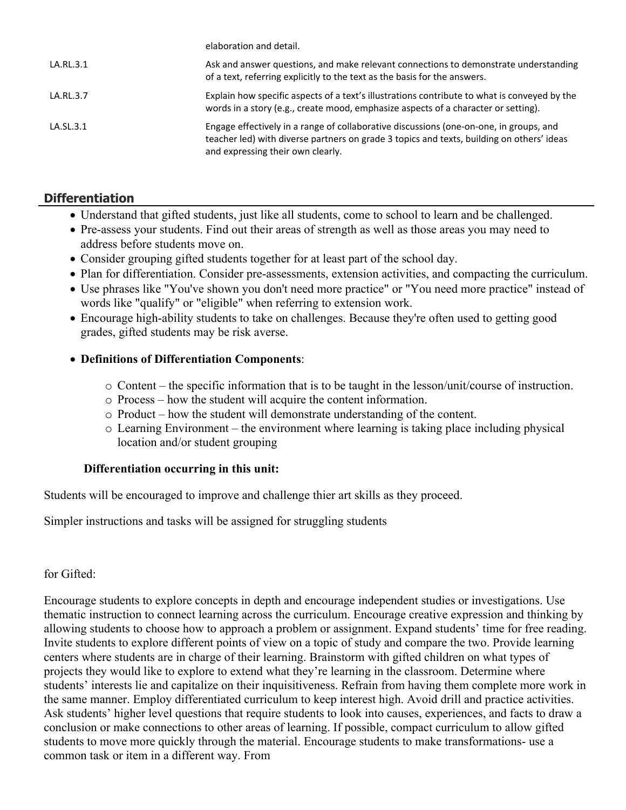|           | elaboration and detail.                                                                                                                                                                                                  |
|-----------|--------------------------------------------------------------------------------------------------------------------------------------------------------------------------------------------------------------------------|
| LA.RL.3.1 | Ask and answer questions, and make relevant connections to demonstrate understanding<br>of a text, referring explicitly to the text as the basis for the answers.                                                        |
| LA.RL.3.7 | Explain how specific aspects of a text's illustrations contribute to what is conveyed by the<br>words in a story (e.g., create mood, emphasize aspects of a character or setting).                                       |
| LA.SL.3.1 | Engage effectively in a range of collaborative discussions (one-on-one, in groups, and<br>teacher led) with diverse partners on grade 3 topics and texts, building on others' ideas<br>and expressing their own clearly. |

# **Differentiation**

- Understand that gifted students, just like all students, come to school to learn and be challenged.
- Pre-assess your students. Find out their areas of strength as well as those areas you may need to address before students move on.
- Consider grouping gifted students together for at least part of the school day.
- Plan for differentiation. Consider pre-assessments, extension activities, and compacting the curriculum.
- Use phrases like "You've shown you don't need more practice" or "You need more practice" instead of words like "qualify" or "eligible" when referring to extension work.
- Encourage high-ability students to take on challenges. Because they're often used to getting good grades, gifted students may be risk averse.

# **Definitions of Differentiation Components**:

- $\circ$  Content the specific information that is to be taught in the lesson/unit/course of instruction.
- o Process how the student will acquire the content information.
- o Product how the student will demonstrate understanding of the content.
- o Learning Environment the environment where learning is taking place including physical location and/or student grouping

### **Differentiation occurring in this unit:**

Students will be encouraged to improve and challenge thier art skills as they proceed.

Simpler instructions and tasks will be assigned for struggling students

### for Gifted:

Encourage students to explore concepts in depth and encourage independent studies or investigations. Use thematic instruction to connect learning across the curriculum. Encourage creative expression and thinking by allowing students to choose how to approach a problem or assignment. Expand students' time for free reading. Invite students to explore different points of view on a topic of study and compare the two. Provide learning centers where students are in charge of their learning. Brainstorm with gifted children on what types of projects they would like to explore to extend what they're learning in the classroom. Determine where students' interests lie and capitalize on their inquisitiveness. Refrain from having them complete more work in the same manner. Employ differentiated curriculum to keep interest high. Avoid drill and practice activities. Ask students' higher level questions that require students to look into causes, experiences, and facts to draw a conclusion or make connections to other areas of learning. If possible, compact curriculum to allow gifted students to move more quickly through the material. Encourage students to make transformations- use a common task or item in a different way. From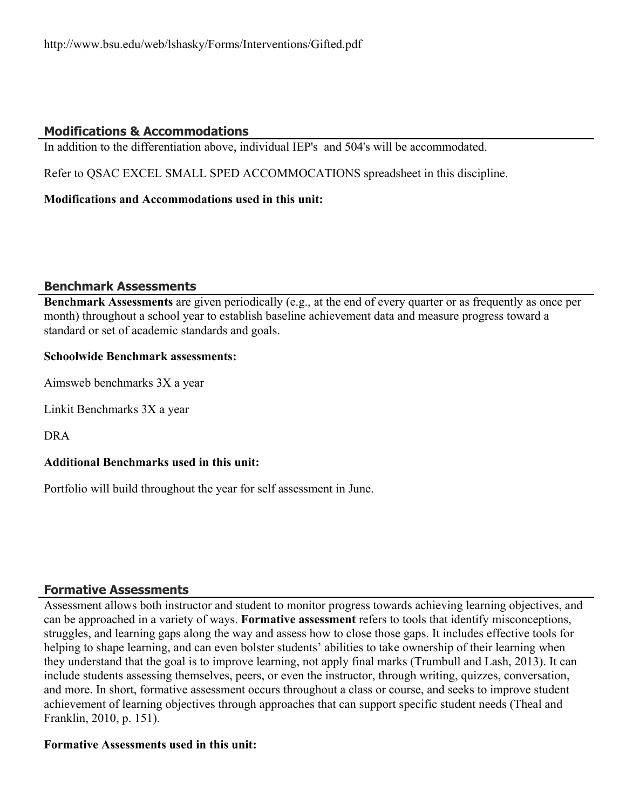# **Modifications & Accommodations**

In addition to the differentiation above, individual IEP's and 504's will be accommodated.

Refer to QSAC EXCEL SMALL SPED ACCOMMOCATIONS spreadsheet in this discipline.

## **Modifications and Accommodations used in this unit:**

### **Benchmark Assessments**

**Benchmark Assessments** are given periodically (e.g., at the end of every quarter or as frequently as once per month) throughout a school year to establish baseline achievement data and measure progress toward a standard or set of academic standards and goals.

## **Schoolwide Benchmark assessments:**

Aimsweb benchmarks 3X a year

Linkit Benchmarks 3X a year

DRA

### **Additional Benchmarks used in this unit:**

Portfolio will build throughout the year for self assessment in June.

# **Formative Assessments**

Assessment allows both instructor and student to monitor progress towards achieving learning objectives, and can be approached in a variety of ways. **Formative assessment** refers to tools that identify misconceptions, struggles, and learning gaps along the way and assess how to close those gaps. It includes effective tools for helping to shape learning, and can even bolster students' abilities to take ownership of their learning when they understand that the goal is to improve learning, not apply final marks (Trumbull and Lash, 2013). It can include students assessing themselves, peers, or even the instructor, through writing, quizzes, conversation, and more. In short, formative assessment occurs throughout a class or course, and seeks to improve student achievement of learning objectives through approaches that can support specific student needs (Theal and Franklin, 2010, p. 151).

### **Formative Assessments used in this unit:**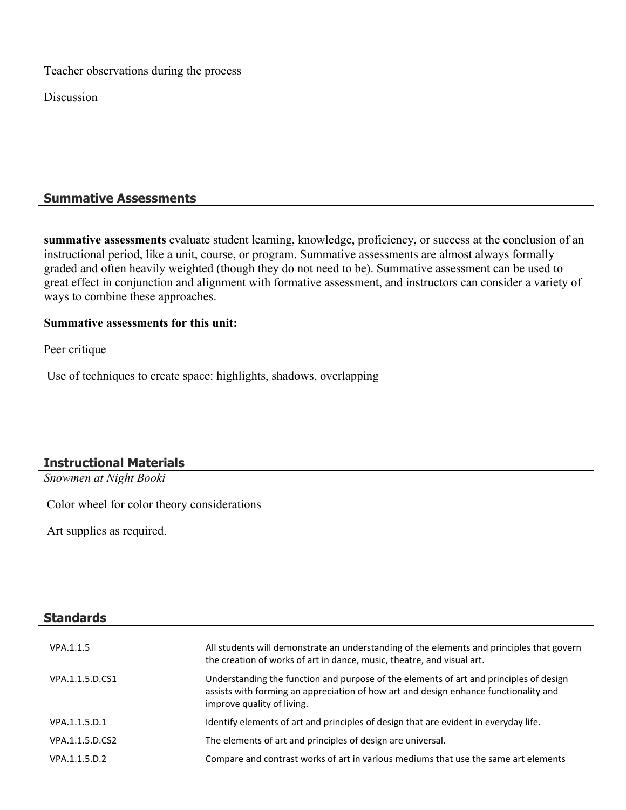Teacher observations during the process

Discussion

## **Summative Assessments**

**summative assessments** evaluate student learning, knowledge, proficiency, or success at the conclusion of an instructional period, like a unit, course, or program. Summative assessments are almost always formally graded and often heavily weighted (though they do not need to be). Summative assessment can be used to great effect in conjunction and alignment with formative assessment, and instructors can consider a variety of ways to combine these approaches.

#### **Summative assessments for this unit:**

Peer critique

Use of techniques to create space: highlights, shadows, overlapping

# **Instructional Materials**

*Snowmen at Night Booki*

Color wheel for color theory considerations

Art supplies as required.

**Standards**

| VPA 1.1.5       | All students will demonstrate an understanding of the elements and principles that govern<br>the creation of works of art in dance, music, theatre, and visual art.                                          |
|-----------------|--------------------------------------------------------------------------------------------------------------------------------------------------------------------------------------------------------------|
| VPA.1.1.5.D.CS1 | Understanding the function and purpose of the elements of art and principles of design<br>assists with forming an appreciation of how art and design enhance functionality and<br>improve quality of living. |
| VPA.1.1.5.D.1   | Identify elements of art and principles of design that are evident in everyday life.                                                                                                                         |
| VPA.1.1.5.D.CS2 | The elements of art and principles of design are universal.                                                                                                                                                  |
| VPA.1.1.5.D.2   | Compare and contrast works of art in various mediums that use the same art elements                                                                                                                          |